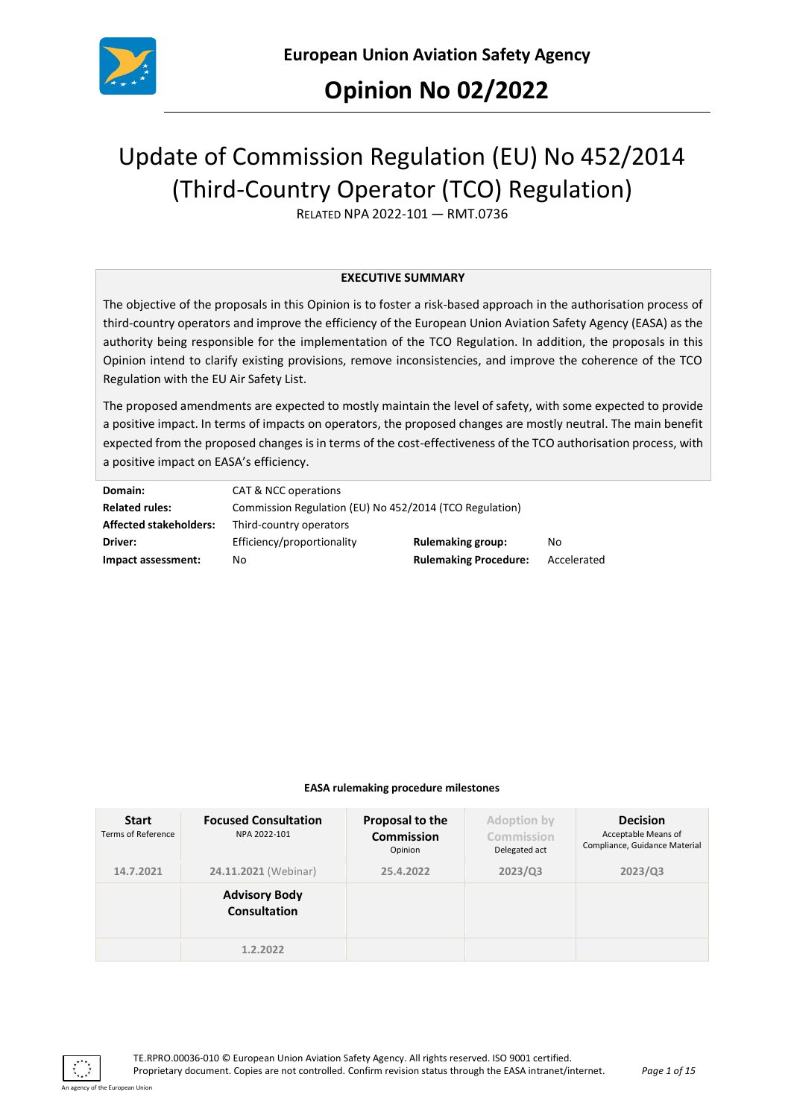

## **Opinion No 02/2022**

# Update of Commission Regulation (EU) No 452/2014 (Third-Country Operator (TCO) Regulation)

RELATED NPA 2022-101 — RMT.0736

#### **EXECUTIVE SUMMARY**

The objective of the proposals in this Opinion is to foster a risk-based approach in the authorisation process of third-country operators and improve the efficiency of the European Union Aviation Safety Agency (EASA) as the authority being responsible for the implementation of the TCO Regulation. In addition, the proposals in this Opinion intend to clarify existing provisions, remove inconsistencies, and improve the coherence of the TCO Regulation with the EU Air Safety List.

The proposed amendments are expected to mostly maintain the level of safety, with some expected to provide a positive impact. In terms of impacts on operators, the proposed changes are mostly neutral. The main benefit expected from the proposed changes is in terms of the cost-effectiveness of the TCO authorisation process, with a positive impact on EASA's efficiency.

| Domain:                       | CAT & NCC operations                                    |                              |             |  |
|-------------------------------|---------------------------------------------------------|------------------------------|-------------|--|
| <b>Related rules:</b>         | Commission Regulation (EU) No 452/2014 (TCO Regulation) |                              |             |  |
| <b>Affected stakeholders:</b> | Third-country operators                                 |                              |             |  |
| Driver:                       | Efficiency/proportionality                              | <b>Rulemaking group:</b>     | No          |  |
| Impact assessment:            | No                                                      | <b>Rulemaking Procedure:</b> | Accelerated |  |

#### **EASA rulemaking procedure milestones**

| <b>Start</b><br>Terms of Reference | <b>Focused Consultation</b><br>NPA 2022-101 | Proposal to the<br><b>Commission</b><br>Opinion | Adoption by<br>Commission<br>Delegated act | <b>Decision</b><br>Acceptable Means of<br>Compliance, Guidance Material |
|------------------------------------|---------------------------------------------|-------------------------------------------------|--------------------------------------------|-------------------------------------------------------------------------|
| 14.7.2021                          | 24.11.2021 (Webinar)                        | 25.4.2022                                       | 2023/Q3                                    | 2023/Q3                                                                 |
|                                    | <b>Advisory Body</b><br><b>Consultation</b> |                                                 |                                            |                                                                         |
|                                    | 1.2.2022                                    |                                                 |                                            |                                                                         |

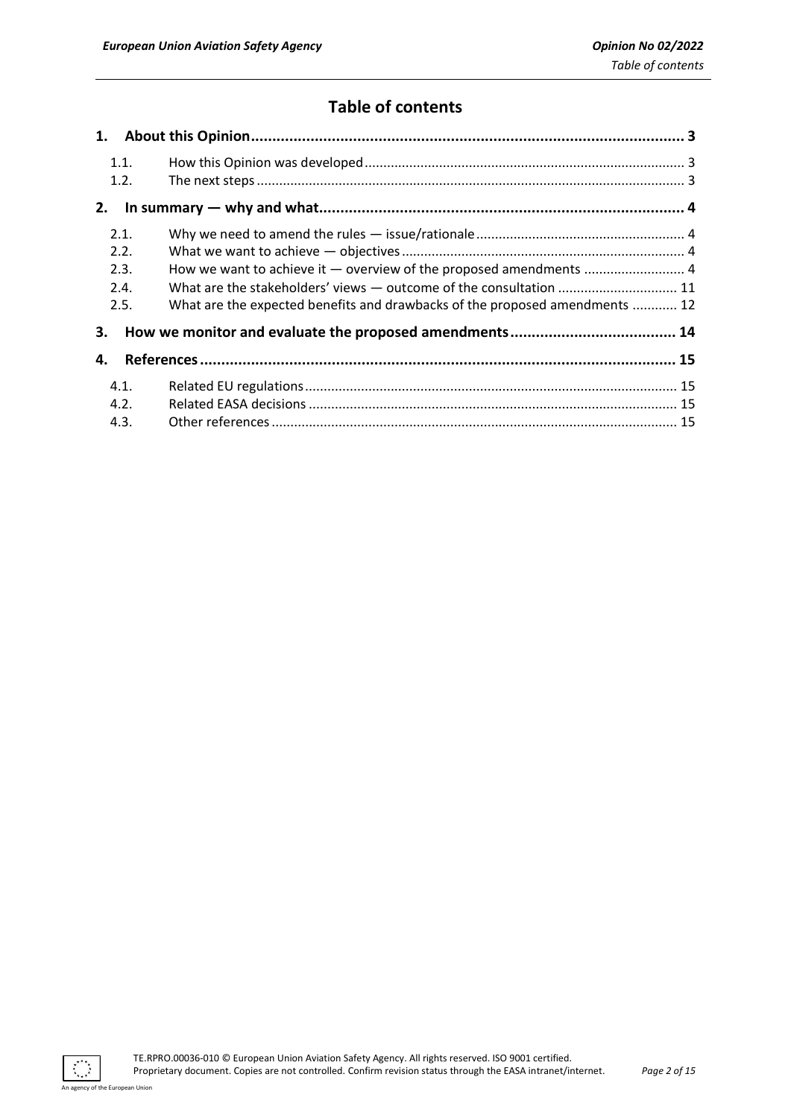## **Table of contents**

| 1.   |                                                                             |  |
|------|-----------------------------------------------------------------------------|--|
| 1.1. |                                                                             |  |
| 1.2. |                                                                             |  |
| 2.   |                                                                             |  |
| 2.1. |                                                                             |  |
| 2.2. |                                                                             |  |
| 2.3. | How we want to achieve it - overview of the proposed amendments  4          |  |
| 2.4. | What are the stakeholders' views - outcome of the consultation  11          |  |
| 2.5. | What are the expected benefits and drawbacks of the proposed amendments  12 |  |
| 3.   |                                                                             |  |
| 4.   |                                                                             |  |
| 4.1. |                                                                             |  |
| 4.2. |                                                                             |  |
| 4.3. |                                                                             |  |

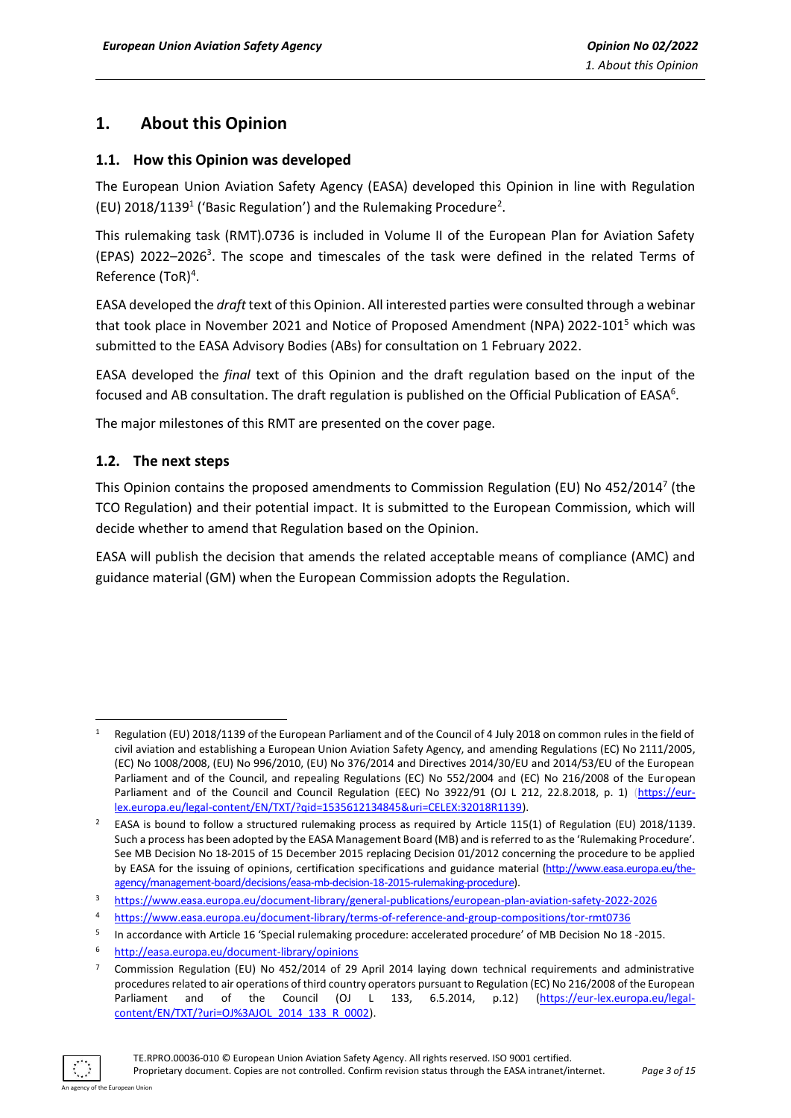## <span id="page-2-0"></span>**1. About this Opinion**

#### <span id="page-2-1"></span>**1.1. How this Opinion was developed**

The European Union Aviation Safety Agency (EASA) developed this Opinion in line with Regulation (EU) 2018/1139<sup>1</sup> ('Basic Regulation') and the Rulemaking Procedure<sup>2</sup>.

This rulemaking task (RMT).0736 is included in Volume II of the European Plan for Aviation Safety  $(EPAS)$  2022–2026<sup>3</sup>. The scope and timescales of the task were defined in the related Terms of Reference (ToR)<sup>4</sup>.

EASA developed the *draft* text of this Opinion. All interested parties were consulted through a webinar that took place in November 2021 and Notice of Proposed Amendment (NPA) 2022-101<sup>5</sup> which was submitted to the EASA Advisory Bodies (ABs) for consultation on 1 February 2022.

EASA developed the *final* text of this Opinion and the draft regulation based on the input of the focused and AB consultation. The draft regulation is published on the Official Publication of EASA<sup>6</sup>.

The major milestones of this RMT are presented on the cover page.

#### <span id="page-2-2"></span>**1.2. The next steps**

This Opinion contains the proposed amendments to Commission Regulation (EU) No 452/2014<sup>7</sup> (the TCO Regulation) and their potential impact. It is submitted to the European Commission, which will decide whether to amend that Regulation based on the Opinion.

EASA will publish the decision that amends the related acceptable means of compliance (AMC) and guidance material (GM) when the European Commission adopts the Regulation.

<sup>7</sup> Commission Regulation (EU) No 452/2014 of 29 April 2014 laying down technical requirements and administrative procedures related to air operations of third country operators pursuant to Regulation (EC) No 216/2008 of the European Parliament and of the Council (OJ L 133, 6.5.2014, p.12) [\(https://eur-lex.europa.eu/legal](https://eur-lex.europa.eu/legal-content/EN/TXT/?uri=OJ%3AJOL_2014_133_R_0002)[content/EN/TXT/?uri=OJ%3AJOL\\_2014\\_133\\_R\\_0002\)](https://eur-lex.europa.eu/legal-content/EN/TXT/?uri=OJ%3AJOL_2014_133_R_0002).



<sup>1</sup> Regulation (EU) 2018/1139 of the European Parliament and of the Council of 4 July 2018 on common rules in the field of civil aviation and establishing a European Union Aviation Safety Agency, and amending Regulations (EC) No 2111/2005, (EC) No 1008/2008, (EU) No 996/2010, (EU) No 376/2014 and Directives 2014/30/EU and 2014/53/EU of the European Parliament and of the Council, and repealing Regulations (EC) No 552/2004 and (EC) No 216/2008 of the European Parliament and of the Council and Council Regulation (EEC) No 3922/91 (OJ L 212, 22.8.2018, p. 1) [\(https://eur](https://eur-lex.europa.eu/legal-content/EN/TXT/?qid=1535612134845&uri=CELEX:32018R1139)[lex.europa.eu/legal-content/EN/TXT/?qid=1535612134845&uri=CELEX:32018R1139\)](https://eur-lex.europa.eu/legal-content/EN/TXT/?qid=1535612134845&uri=CELEX:32018R1139).

<sup>&</sup>lt;sup>2</sup> EASA is bound to follow a structured rulemaking process as required by Article 115(1) of Regulation (EU) 2018/1139. Such a process has been adopted by the EASA Management Board (MB) and is referred to as the 'Rulemaking Procedure'. See MB Decision No 18-2015 of 15 December 2015 replacing Decision 01/2012 concerning the procedure to be applied by EASA for the issuing of opinions, certification specifications and guidance material [\(http://www.easa.europa.eu/the](http://www.easa.europa.eu/the-agency/management-board/decisions/easa-mb-decision-18-2015-rulemaking-procedure)[agency/management-board/decisions/easa-mb-decision-18-2015-rulemaking-procedure\)](http://www.easa.europa.eu/the-agency/management-board/decisions/easa-mb-decision-18-2015-rulemaking-procedure).

<sup>3</sup> <https://www.easa.europa.eu/document-library/general-publications/european-plan-aviation-safety-2022-2026>

<sup>4</sup> https://www.easa.europa.eu/document-library/terms-of-reference-and-group-compositions/tor-rmt0736

<sup>5</sup> In accordance with Article 16 'Special rulemaking procedure: accelerated procedure' of MB Decision No 18 -2015.

<sup>6</sup> <http://easa.europa.eu/document-library/opinions>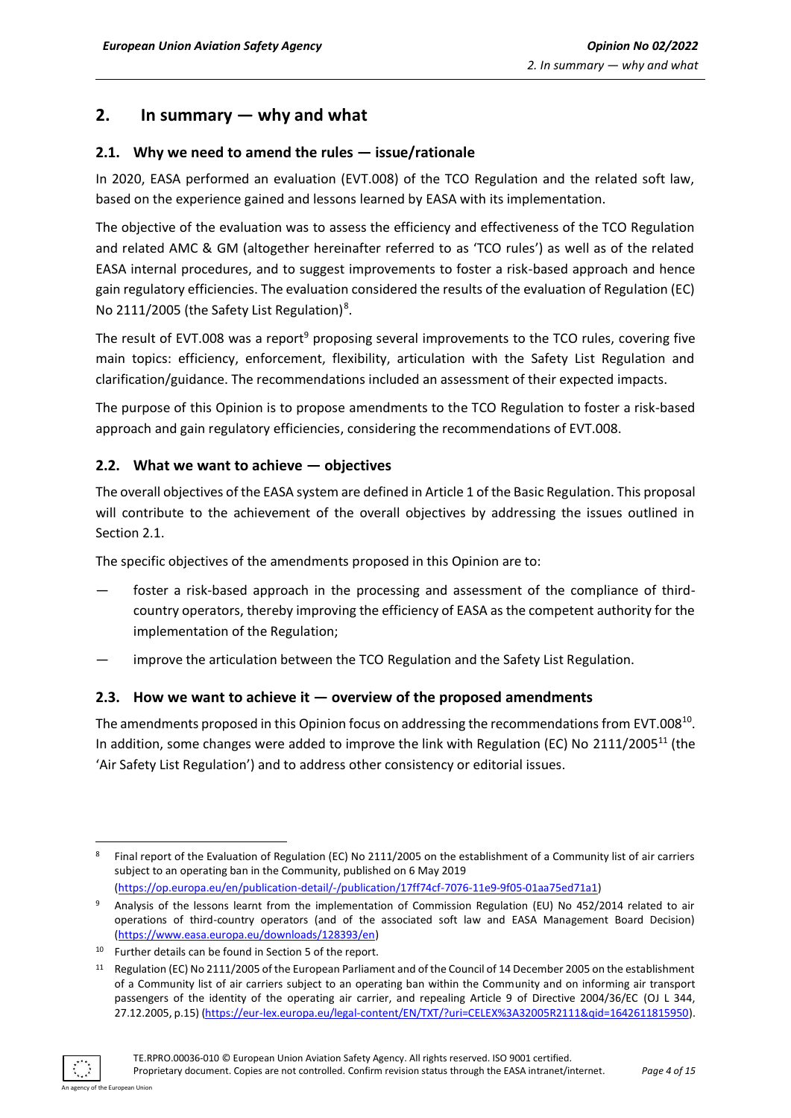## <span id="page-3-0"></span>**2. In summary — why and what**

#### <span id="page-3-1"></span>**2.1. Why we need to amend the rules — issue/rationale**

In 2020, EASA performed an evaluation (EVT.008) of the TCO Regulation and the related soft law, based on the experience gained and lessons learned by EASA with its implementation.

The objective of the evaluation was to assess the efficiency and effectiveness of the TCO Regulation and related AMC & GM (altogether hereinafter referred to as 'TCO rules') as well as of the related EASA internal procedures, and to suggest improvements to foster a risk-based approach and hence gain regulatory efficiencies. The evaluation considered the results of the evaluation of Regulation (EC) No 2111/2005 (the Safety List Regulation)<sup>8</sup>.

The result of EVT.008 was a report<sup>9</sup> proposing several improvements to the TCO rules, covering five main topics: efficiency, enforcement, flexibility, articulation with the Safety List Regulation and clarification/guidance. The recommendations included an assessment of their expected impacts.

The purpose of this Opinion is to propose amendments to the TCO Regulation to foster a risk-based approach and gain regulatory efficiencies, considering the recommendations of EVT.008.

#### <span id="page-3-2"></span>**2.2. What we want to achieve — objectives**

The overall objectives of the EASA system are defined in Article 1 of the Basic Regulation. This proposal will contribute to the achievement of the overall objectives by addressing the issues outlined in Section 2.1.

The specific objectives of the amendments proposed in this Opinion are to:

- foster a risk-based approach in the processing and assessment of the compliance of thirdcountry operators, thereby improving the efficiency of EASA as the competent authority for the implementation of the Regulation;
- improve the articulation between the TCO Regulation and the Safety List Regulation.

#### <span id="page-3-3"></span>**2.3. How we want to achieve it — overview of the proposed amendments**

The amendments proposed in this Opinion focus on addressing the recommendations from EVT.008<sup>10</sup>. In addition, some changes were added to improve the link with Regulation (EC) No 2111/2005<sup>11</sup> (the 'Air Safety List Regulation') and to address other consistency or editorial issues.

<sup>&</sup>lt;sup>11</sup> Regulation (EC) No 2111/2005 of the European Parliament and of the Council of 14 December 2005 on the establishment of a Community list of air carriers subject to an operating ban within the Community and on informing air transport passengers of the identity of the operating air carrier, and repealing Article 9 of Directive 2004/36/EC (OJ L 344, 27.12.2005, p.15) [\(https://eur-lex.europa.eu/legal-content/EN/TXT/?uri=CELEX%3A32005R2111&qid=1642611815950\)](https://eur-lex.europa.eu/legal-content/EN/TXT/?uri=CELEX%3A32005R2111&qid=1642611815950).



<sup>&</sup>lt;sup>8</sup> Final report of the Evaluation of Regulation (EC) No 2111/2005 on the establishment of a Community list of air carriers subject to an operating ban in the Community, published on 6 May 2019 [\(https://op.europa.eu/en/publication-detail/-/publication/17ff74cf-7076-11e9-9f05-01aa75ed71a1\)](https://op.europa.eu/en/publication-detail/-/publication/17ff74cf-7076-11e9-9f05-01aa75ed71a1)

<sup>9</sup> Analysis of the lessons learnt from the implementation of Commission Regulation (EU) No 452/2014 related to air operations of third-country operators (and of the associated soft law and EASA Management Board Decision) [\(https://www.easa.europa.eu/downloads/128393/en\)](https://www.easa.europa.eu/downloads/128393/en)

<sup>10</sup> Further details can be found in Section 5 of the report.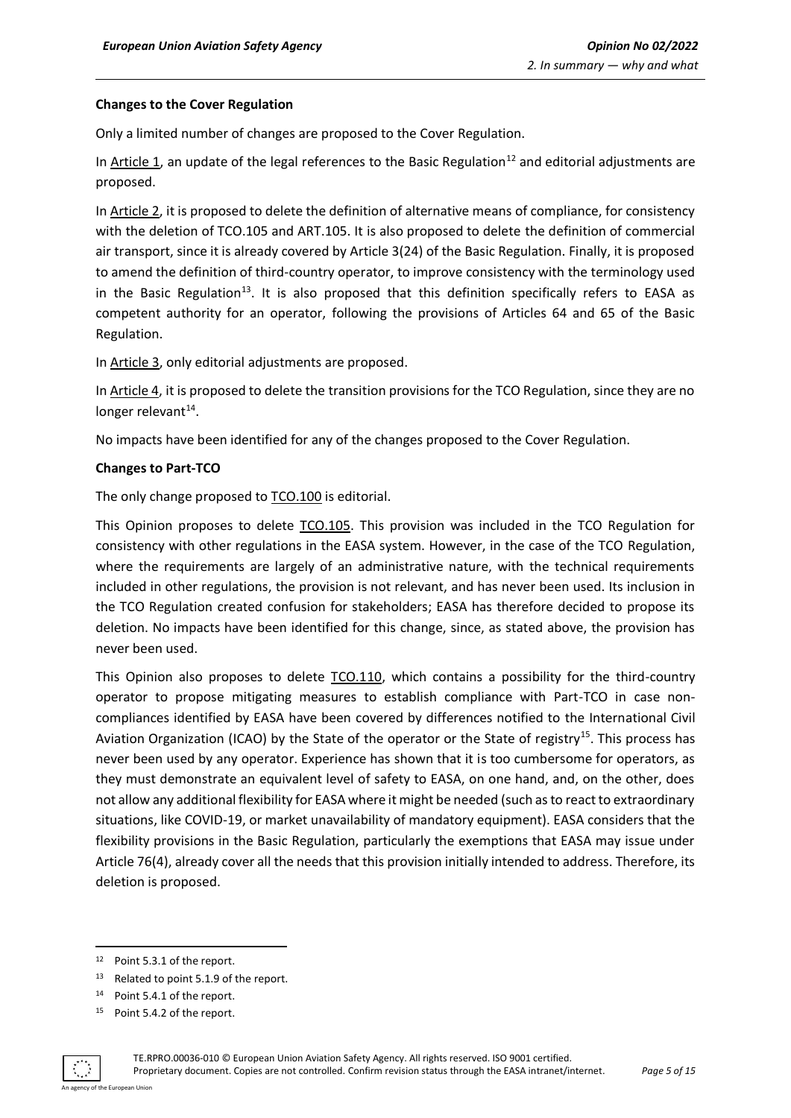#### **Changes to the Cover Regulation**

Only a limited number of changes are proposed to the Cover Regulation.

In Article 1, an update of the legal references to the Basic Regulation<sup>12</sup> and editorial adjustments are proposed.

In Article 2, it is proposed to delete the definition of alternative means of compliance, for consistency with the deletion of TCO.105 and ART.105. It is also proposed to delete the definition of commercial air transport, since it is already covered by Article 3(24) of the Basic Regulation. Finally, it is proposed to amend the definition of third-country operator, to improve consistency with the terminology used in the Basic Regulation<sup>13</sup>. It is also proposed that this definition specifically refers to EASA as competent authority for an operator, following the provisions of Articles 64 and 65 of the Basic Regulation.

In Article 3, only editorial adjustments are proposed.

In Article 4, it is proposed to delete the transition provisions for the TCO Regulation, since they are no longer relevant<sup>14</sup>.

No impacts have been identified for any of the changes proposed to the Cover Regulation.

#### **Changes to Part-TCO**

The only change proposed to TCO.100 is editorial.

This Opinion proposes to delete TCO.105. This provision was included in the TCO Regulation for consistency with other regulations in the EASA system. However, in the case of the TCO Regulation, where the requirements are largely of an administrative nature, with the technical requirements included in other regulations, the provision is not relevant, and has never been used. Its inclusion in the TCO Regulation created confusion for stakeholders; EASA has therefore decided to propose its deletion. No impacts have been identified for this change, since, as stated above, the provision has never been used.

This Opinion also proposes to delete TCO.110, which contains a possibility for the third-country operator to propose mitigating measures to establish compliance with Part-TCO in case noncompliances identified by EASA have been covered by differences notified to the International Civil Aviation Organization (ICAO) by the State of the operator or the State of registry<sup>15</sup>. This process has never been used by any operator. Experience has shown that it is too cumbersome for operators, as they must demonstrate an equivalent level of safety to EASA, on one hand, and, on the other, does not allow any additional flexibility for EASA where it might be needed (such as to react to extraordinary situations, like COVID-19, or market unavailability of mandatory equipment). EASA considers that the flexibility provisions in the Basic Regulation, particularly the exemptions that EASA may issue under Article 76(4), already cover all the needs that this provision initially intended to address. Therefore, its deletion is proposed.

<sup>15</sup> Point 5.4.2 of the report.



<sup>12</sup> Point 5.3.1 of the report.

<sup>13</sup> Related to point 5.1.9 of the report.

<sup>14</sup> Point 5.4.1 of the report.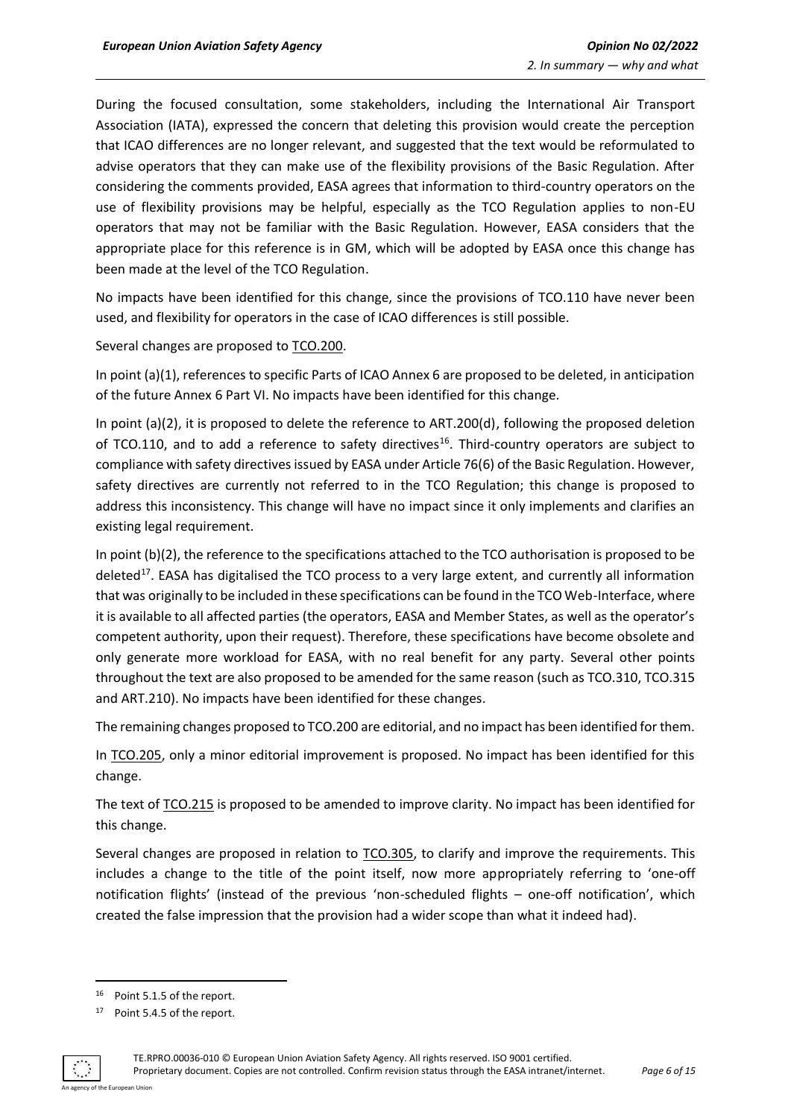During the focused consultation, some stakeholders, including the International Air Transport Association (IATA), expressed the concern that deleting this provision would create the perception that ICAO differences are no longer relevant, and suggested that the text would be reformulated to advise operators that they can make use of the flexibility provisions of the Basic Regulation. After considering the comments provided, EASA agrees that information to third-country operators on the use of flexibility provisions may be helpful, especially as the TCO Regulation applies to non-EU operators that may not be familiar with the Basic Regulation. However, EASA considers that the appropriate place for this reference is in GM, which will be adopted by EASA once this change has been made at the level of the TCO Regulation.

No impacts have been identified for this change, since the provisions of TCO.110 have never been used, and flexibility for operators in the case of ICAO differences is still possible.

Several changes are proposed to TCO.200.

In point (a)(1), references to specific Parts of ICAO Annex 6 are proposed to be deleted, in anticipation of the future Annex 6 Part VI. No impacts have been identified for this change.

In point (a)(2), it is proposed to delete the reference to ART.200(d), following the proposed deletion of TCO.110, and to add a reference to safety directives<sup>16</sup>. Third-country operators are subject to compliance with safety directives issued by EASA under Article 76(6) of the Basic Regulation. However, safety directives are currently not referred to in the TCO Regulation; this change is proposed to address this inconsistency. This change will have no impact since it only implements and clarifies an existing legal requirement.

In point (b)(2), the reference to the specifications attached to the TCO authorisation is proposed to be deleted<sup>17</sup>. EASA has digitalised the TCO process to a very large extent, and currently all information that was originally to be included in these specifications can be found in the TCO Web-Interface, where it is available to all affected parties (the operators, EASA and Member States, as well as the operator's competent authority, upon their request). Therefore, these specifications have become obsolete and only generate more workload for EASA, with no real benefit for any party. Several other points throughout the text are also proposed to be amended for the same reason (such as TCO.310, TCO.315 and ART.210). No impacts have been identified for these changes.

The remaining changes proposed to TCO.200 are editorial, and no impact has been identified for them.

In TCO.205, only a minor editorial improvement is proposed. No impact has been identified for this change.

The text of **TCO.215** is proposed to be amended to improve clarity. No impact has been identified for this change.

Several changes are proposed in relation to TCO.305, to clarify and improve the requirements. This includes a change to the title of the point itself, now more appropriately referring to 'one-off notification flights' (instead of the previous 'non-scheduled flights – one-off notification', which created the false impression that the provision had a wider scope than what it indeed had).

<sup>17</sup> Point 5.4.5 of the report.



<sup>16</sup> Point 5.1.5 of the report.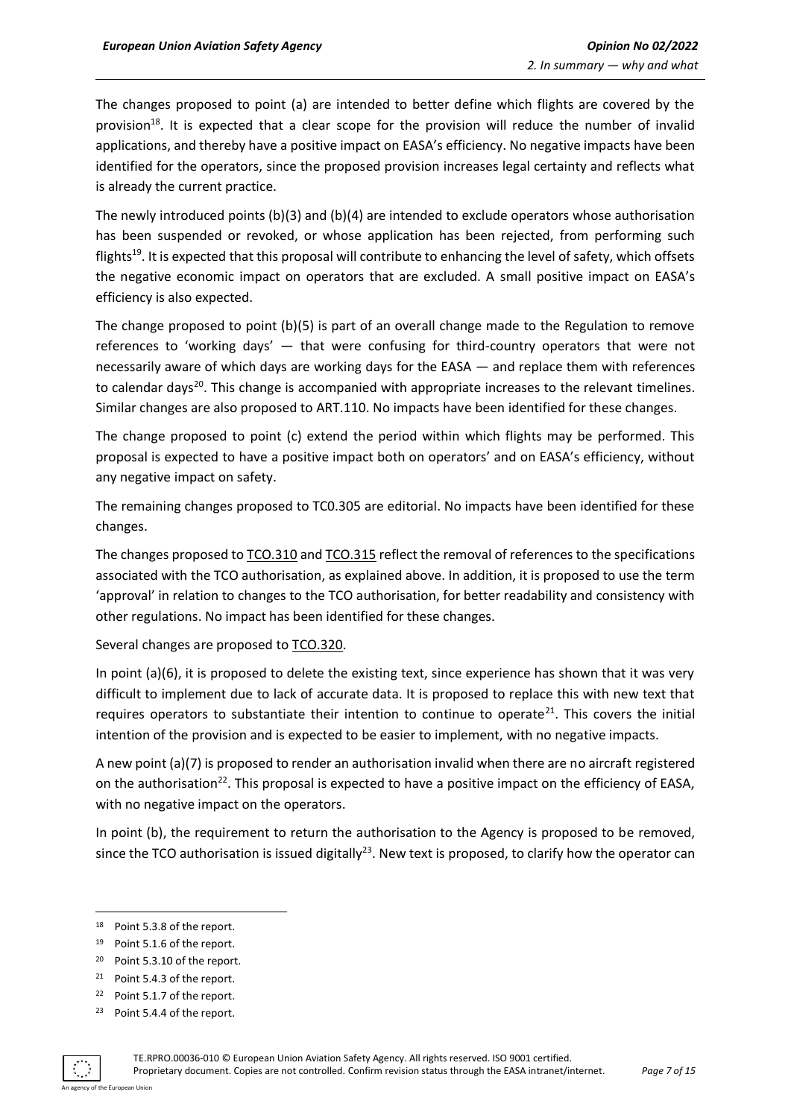The changes proposed to point (a) are intended to better define which flights are covered by the provision<sup>18</sup>. It is expected that a clear scope for the provision will reduce the number of invalid applications, and thereby have a positive impact on EASA's efficiency. No negative impacts have been identified for the operators, since the proposed provision increases legal certainty and reflects what is already the current practice.

The newly introduced points (b)(3) and (b)(4) are intended to exclude operators whose authorisation has been suspended or revoked, or whose application has been rejected, from performing such flights<sup>19</sup>. It is expected that this proposal will contribute to enhancing the level of safety, which offsets the negative economic impact on operators that are excluded. A small positive impact on EASA's efficiency is also expected.

The change proposed to point (b)(5) is part of an overall change made to the Regulation to remove references to 'working days' — that were confusing for third-country operators that were not necessarily aware of which days are working days for the EASA — and replace them with references to calendar days<sup>20</sup>. This change is accompanied with appropriate increases to the relevant timelines. Similar changes are also proposed to ART.110. No impacts have been identified for these changes.

The change proposed to point (c) extend the period within which flights may be performed. This proposal is expected to have a positive impact both on operators' and on EASA's efficiency, without any negative impact on safety.

The remaining changes proposed to TC0.305 are editorial. No impacts have been identified for these changes.

The changes proposed to  $\underline{TCO.310}$  and  $\underline{TCO.315}$  reflect the removal of references to the specifications associated with the TCO authorisation, as explained above. In addition, it is proposed to use the term 'approval' in relation to changes to the TCO authorisation, for better readability and consistency with other regulations. No impact has been identified for these changes.

Several changes are proposed to TCO.320.

In point (a)(6), it is proposed to delete the existing text, since experience has shown that it was very difficult to implement due to lack of accurate data. It is proposed to replace this with new text that requires operators to substantiate their intention to continue to operate<sup>21</sup>. This covers the initial intention of the provision and is expected to be easier to implement, with no negative impacts.

A new point (a)(7) is proposed to render an authorisation invalid when there are no aircraft registered on the authorisation<sup>22</sup>. This proposal is expected to have a positive impact on the efficiency of EASA, with no negative impact on the operators.

In point (b), the requirement to return the authorisation to the Agency is proposed to be removed, since the TCO authorisation is issued digitally<sup>23</sup>. New text is proposed, to clarify how the operator can

<sup>23</sup> Point 5.4.4 of the report.



<sup>18</sup> Point 5.3.8 of the report.

<sup>19</sup> Point 5.1.6 of the report.

<sup>20</sup> Point 5.3.10 of the report.

<sup>21</sup> Point 5.4.3 of the report.

<sup>22</sup> Point 5.1.7 of the report.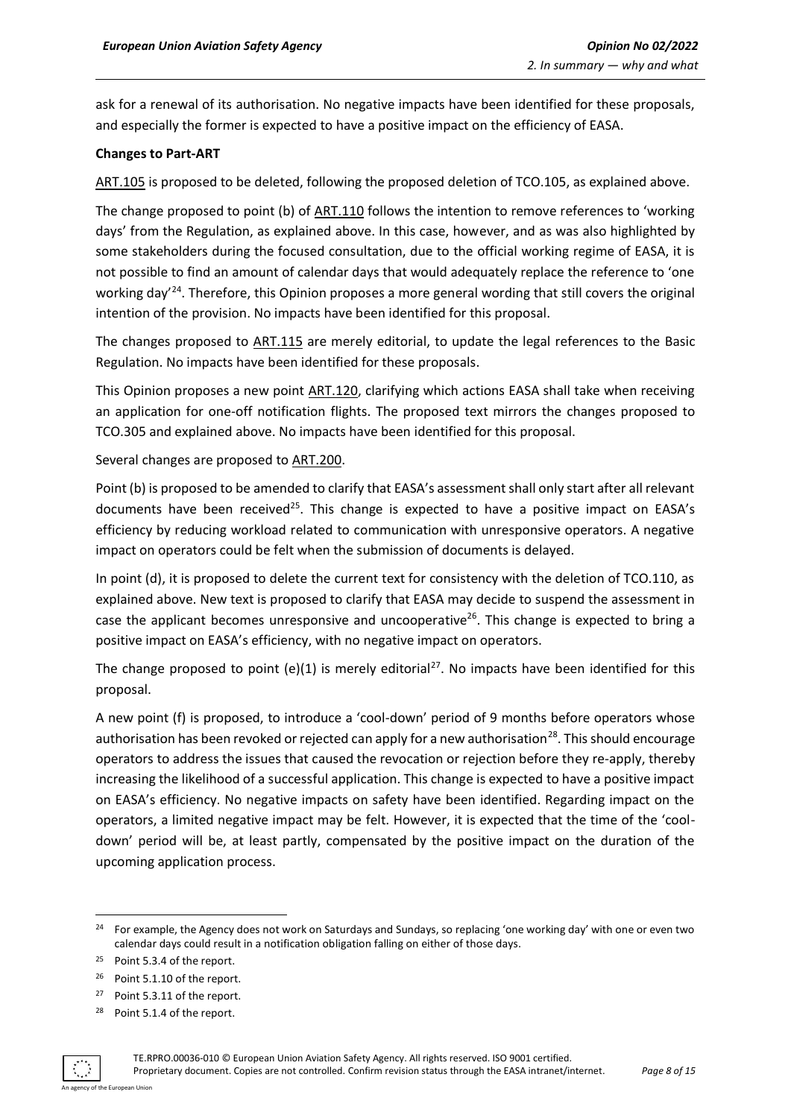ask for a renewal of its authorisation. No negative impacts have been identified for these proposals, and especially the former is expected to have a positive impact on the efficiency of EASA.

#### **Changes to Part-ART**

ART.105 is proposed to be deleted, following the proposed deletion of TCO.105, as explained above.

The change proposed to point (b) of ART.110 follows the intention to remove references to 'working days' from the Regulation, as explained above. In this case, however, and as was also highlighted by some stakeholders during the focused consultation, due to the official working regime of EASA, it is not possible to find an amount of calendar days that would adequately replace the reference to 'one working day<sup>'24</sup>. Therefore, this Opinion proposes a more general wording that still covers the original intention of the provision. No impacts have been identified for this proposal.

The changes proposed to ART.115 are merely editorial, to update the legal references to the Basic Regulation. No impacts have been identified for these proposals.

This Opinion proposes a new point ART.120, clarifying which actions EASA shall take when receiving an application for one-off notification flights. The proposed text mirrors the changes proposed to TCO.305 and explained above. No impacts have been identified for this proposal.

Several changes are proposed to ART.200.

Point (b) is proposed to be amended to clarify that EASA's assessment shall only start after all relevant documents have been received<sup>25</sup>. This change is expected to have a positive impact on EASA's efficiency by reducing workload related to communication with unresponsive operators. A negative impact on operators could be felt when the submission of documents is delayed.

In point (d), it is proposed to delete the current text for consistency with the deletion of TCO.110, as explained above. New text is proposed to clarify that EASA may decide to suspend the assessment in case the applicant becomes unresponsive and uncooperative<sup>26</sup>. This change is expected to bring a positive impact on EASA's efficiency, with no negative impact on operators.

The change proposed to point (e)(1) is merely editorial<sup>27</sup>. No impacts have been identified for this proposal.

A new point (f) is proposed, to introduce a 'cool-down' period of 9 months before operators whose authorisation has been revoked or rejected can apply for a new authorisation<sup>28</sup>. This should encourage operators to address the issues that caused the revocation or rejection before they re-apply, thereby increasing the likelihood of a successful application. This change is expected to have a positive impact on EASA's efficiency. No negative impacts on safety have been identified. Regarding impact on the operators, a limited negative impact may be felt. However, it is expected that the time of the 'cooldown' period will be, at least partly, compensated by the positive impact on the duration of the upcoming application process.

<sup>28</sup> Point 5.1.4 of the report.



<sup>&</sup>lt;sup>24</sup> For example, the Agency does not work on Saturdays and Sundays, so replacing 'one working day' with one or even two calendar days could result in a notification obligation falling on either of those days.

<sup>25</sup> Point 5.3.4 of the report.

<sup>26</sup> Point 5.1.10 of the report.

<sup>27</sup> Point 5.3.11 of the report.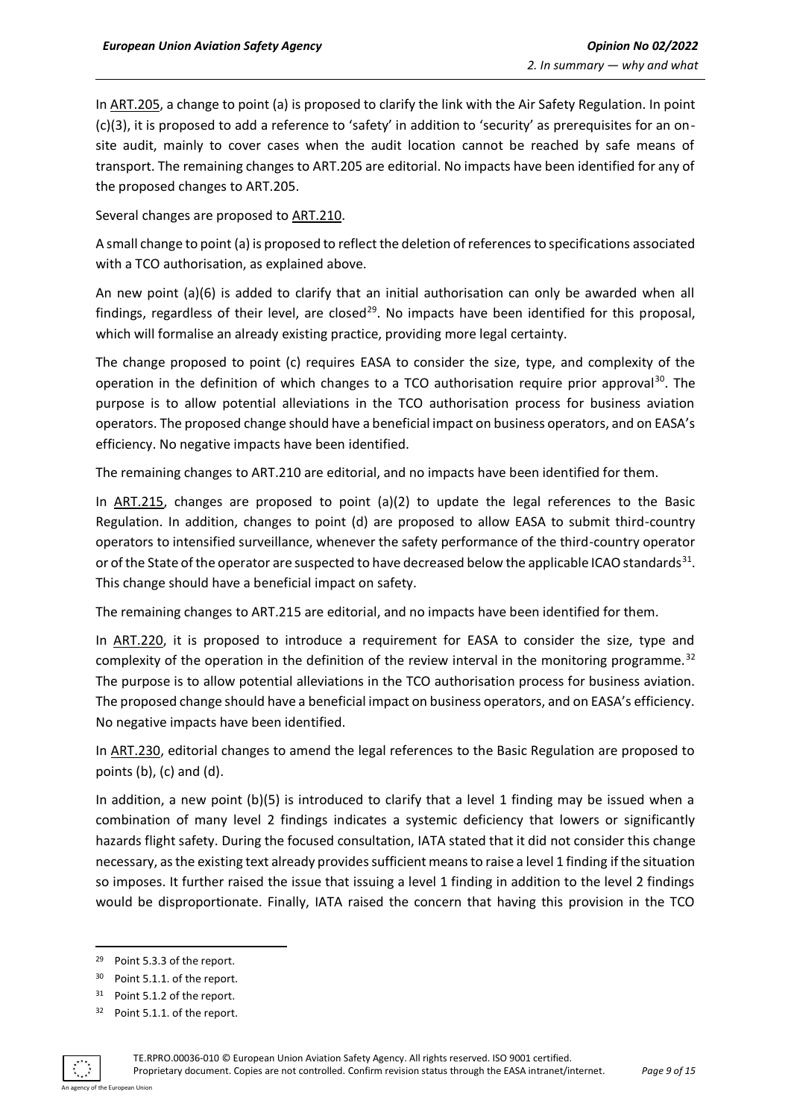In ART.205, a change to point (a) is proposed to clarify the link with the Air Safety Regulation. In point (c)(3), it is proposed to add a reference to 'safety' in addition to 'security' as prerequisites for an onsite audit, mainly to cover cases when the audit location cannot be reached by safe means of transport. The remaining changes to ART.205 are editorial. No impacts have been identified for any of the proposed changes to ART.205.

Several changes are proposed to ART.210.

A small change to point (a) is proposed to reflect the deletion of references to specifications associated with a TCO authorisation, as explained above.

An new point (a)(6) is added to clarify that an initial authorisation can only be awarded when all findings, regardless of their level, are closed<sup>29</sup>. No impacts have been identified for this proposal, which will formalise an already existing practice, providing more legal certainty.

The change proposed to point (c) requires EASA to consider the size, type, and complexity of the operation in the definition of which changes to a TCO authorisation require prior approval<sup>30</sup>. The purpose is to allow potential alleviations in the TCO authorisation process for business aviation operators. The proposed change should have a beneficial impact on business operators, and on EASA's efficiency. No negative impacts have been identified.

The remaining changes to ART.210 are editorial, and no impacts have been identified for them.

In ART.215, changes are proposed to point (a)(2) to update the legal references to the Basic Regulation. In addition, changes to point (d) are proposed to allow EASA to submit third-country operators to intensified surveillance, whenever the safety performance of the third-country operator or of the State of the operator are suspected to have decreased below the applicable ICAO standards<sup>31</sup>. This change should have a beneficial impact on safety.

The remaining changes to ART.215 are editorial, and no impacts have been identified for them.

In ART.220, it is proposed to introduce a requirement for EASA to consider the size, type and complexity of the operation in the definition of the review interval in the monitoring programme.<sup>32</sup> The purpose is to allow potential alleviations in the TCO authorisation process for business aviation. The proposed change should have a beneficial impact on business operators, and on EASA's efficiency. No negative impacts have been identified.

In ART.230, editorial changes to amend the legal references to the Basic Regulation are proposed to points (b), (c) and (d).

In addition, a new point (b)(5) is introduced to clarify that a level 1 finding may be issued when a combination of many level 2 findings indicates a systemic deficiency that lowers or significantly hazards flight safety. During the focused consultation, IATA stated that it did not consider this change necessary, as the existing text already provides sufficient means to raise a level 1 finding if the situation so imposes. It further raised the issue that issuing a level 1 finding in addition to the level 2 findings would be disproportionate. Finally, IATA raised the concern that having this provision in the TCO

<sup>32</sup> Point 5.1.1. of the report.



<sup>29</sup> Point 5.3.3 of the report.

<sup>30</sup> Point 5.1.1. of the report.

<sup>31</sup> Point 5.1.2 of the report.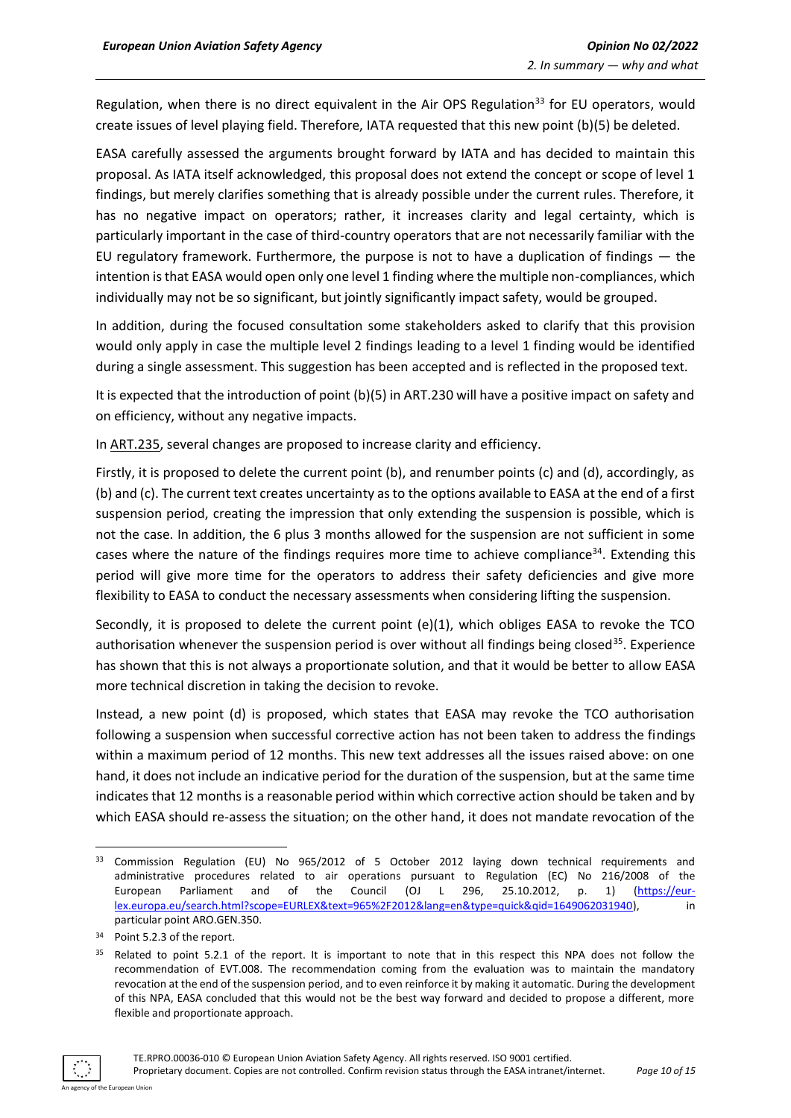Regulation, when there is no direct equivalent in the Air OPS Regulation<sup>33</sup> for EU operators, would create issues of level playing field. Therefore, IATA requested that this new point (b)(5) be deleted.

EASA carefully assessed the arguments brought forward by IATA and has decided to maintain this proposal. As IATA itself acknowledged, this proposal does not extend the concept or scope of level 1 findings, but merely clarifies something that is already possible under the current rules. Therefore, it has no negative impact on operators; rather, it increases clarity and legal certainty, which is particularly important in the case of third-country operators that are not necessarily familiar with the EU regulatory framework. Furthermore, the purpose is not to have a duplication of findings — the intention is that EASA would open only one level 1 finding where the multiple non-compliances, which individually may not be so significant, but jointly significantly impact safety, would be grouped.

In addition, during the focused consultation some stakeholders asked to clarify that this provision would only apply in case the multiple level 2 findings leading to a level 1 finding would be identified during a single assessment. This suggestion has been accepted and is reflected in the proposed text.

It is expected that the introduction of point (b)(5) in ART.230 will have a positive impact on safety and on efficiency, without any negative impacts.

In ART.235, several changes are proposed to increase clarity and efficiency.

Firstly, it is proposed to delete the current point (b), and renumber points (c) and (d), accordingly, as (b) and (c). The current text creates uncertainty as to the options available to EASA at the end of a first suspension period, creating the impression that only extending the suspension is possible, which is not the case. In addition, the 6 plus 3 months allowed for the suspension are not sufficient in some cases where the nature of the findings requires more time to achieve compliance<sup>34</sup>. Extending this period will give more time for the operators to address their safety deficiencies and give more flexibility to EASA to conduct the necessary assessments when considering lifting the suspension.

Secondly, it is proposed to delete the current point (e)(1), which obliges EASA to revoke the TCO authorisation whenever the suspension period is over without all findings being closed<sup>35</sup>. Experience has shown that this is not always a proportionate solution, and that it would be better to allow EASA more technical discretion in taking the decision to revoke.

Instead, a new point (d) is proposed, which states that EASA may revoke the TCO authorisation following a suspension when successful corrective action has not been taken to address the findings within a maximum period of 12 months. This new text addresses all the issues raised above: on one hand, it does not include an indicative period for the duration of the suspension, but at the same time indicates that 12 months is a reasonable period within which corrective action should be taken and by which EASA should re-assess the situation; on the other hand, it does not mandate revocation of the

<sup>&</sup>lt;sup>35</sup> Related to point 5.2.1 of the report. It is important to note that in this respect this NPA does not follow the recommendation of EVT.008. The recommendation coming from the evaluation was to maintain the mandatory revocation at the end of the suspension period, and to even reinforce it by making it automatic. During the development of this NPA, EASA concluded that this would not be the best way forward and decided to propose a different, more flexible and proportionate approach.



<sup>&</sup>lt;sup>33</sup> Commission Regulation (EU) No 965/2012 of 5 October 2012 laying down technical requirements and administrative procedures related to air operations pursuant to Regulation (EC) No 216/2008 of the European Parliament and of the Council (OJ L 296, 25.10.2012, p. 1) [\(https://eur](https://eur-lex.europa.eu/search.html?scope=EURLEX&text=965%2F2012&lang=en&type=quick&qid=1649062031940)[lex.europa.eu/search.html?scope=EURLEX&text=965%2F2012&lang=en&type=quick&qid=1649062031940\)](https://eur-lex.europa.eu/search.html?scope=EURLEX&text=965%2F2012&lang=en&type=quick&qid=1649062031940), in particular point ARO.GEN.350.

<sup>34</sup> Point 5.2.3 of the report.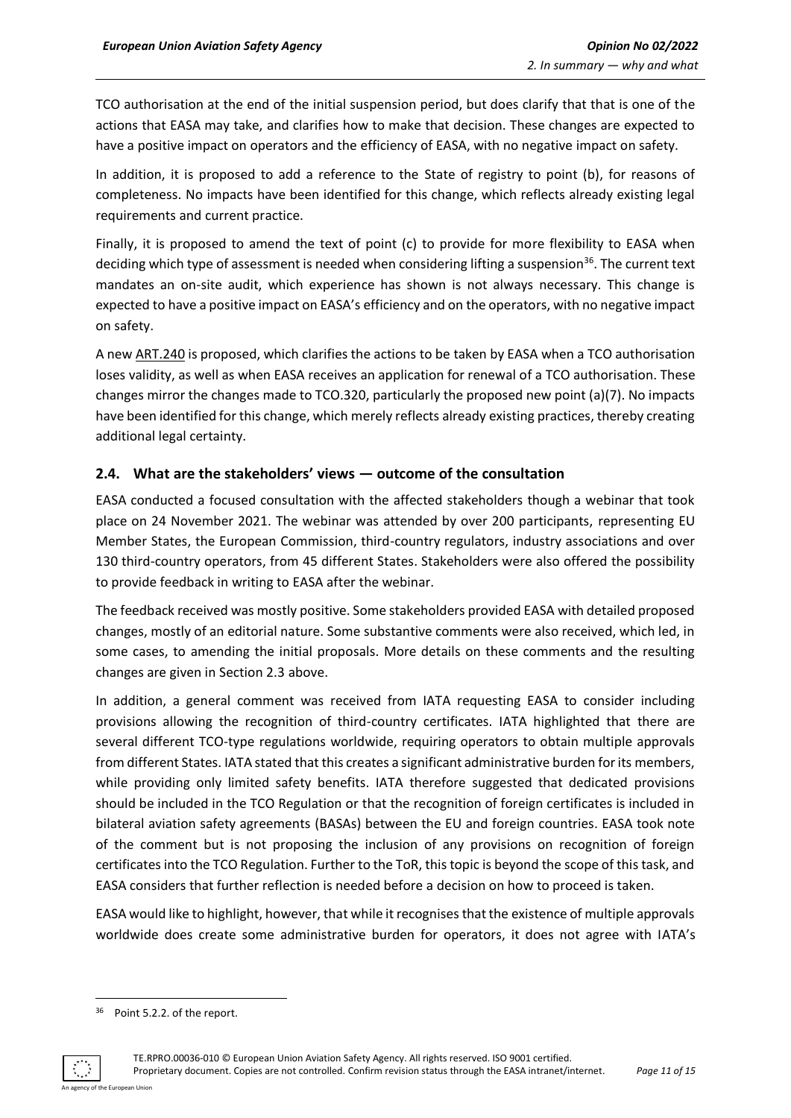TCO authorisation at the end of the initial suspension period, but does clarify that that is one of the actions that EASA may take, and clarifies how to make that decision. These changes are expected to have a positive impact on operators and the efficiency of EASA, with no negative impact on safety.

In addition, it is proposed to add a reference to the State of registry to point (b), for reasons of completeness. No impacts have been identified for this change, which reflects already existing legal requirements and current practice.

Finally, it is proposed to amend the text of point (c) to provide for more flexibility to EASA when deciding which type of assessment is needed when considering lifting a suspension<sup>36</sup>. The current text mandates an on-site audit, which experience has shown is not always necessary. This change is expected to have a positive impact on EASA's efficiency and on the operators, with no negative impact on safety.

A new ART.240 is proposed, which clarifies the actions to be taken by EASA when a TCO authorisation loses validity, as well as when EASA receives an application for renewal of a TCO authorisation. These changes mirror the changes made to TCO.320, particularly the proposed new point (a)(7). No impacts have been identified for this change, which merely reflects already existing practices, thereby creating additional legal certainty.

#### <span id="page-10-0"></span>**2.4. What are the stakeholders' views — outcome of the consultation**

EASA conducted a focused consultation with the affected stakeholders though a webinar that took place on 24 November 2021. The webinar was attended by over 200 participants, representing EU Member States, the European Commission, third-country regulators, industry associations and over 130 third-country operators, from 45 different States. Stakeholders were also offered the possibility to provide feedback in writing to EASA after the webinar.

The feedback received was mostly positive. Some stakeholders provided EASA with detailed proposed changes, mostly of an editorial nature. Some substantive comments were also received, which led, in some cases, to amending the initial proposals. More details on these comments and the resulting changes are given in Section 2.3 above.

In addition, a general comment was received from IATA requesting EASA to consider including provisions allowing the recognition of third-country certificates. IATA highlighted that there are several different TCO-type regulations worldwide, requiring operators to obtain multiple approvals from different States. IATA stated that this creates a significant administrative burden for its members, while providing only limited safety benefits. IATA therefore suggested that dedicated provisions should be included in the TCO Regulation or that the recognition of foreign certificates is included in bilateral aviation safety agreements (BASAs) between the EU and foreign countries. EASA took note of the comment but is not proposing the inclusion of any provisions on recognition of foreign certificates into the TCO Regulation. Further to the ToR, this topic is beyond the scope of this task, and EASA considers that further reflection is needed before a decision on how to proceed is taken.

EASA would like to highlight, however, that while it recognises that the existence of multiple approvals worldwide does create some administrative burden for operators, it does not agree with IATA's

<sup>36</sup> Point 5.2.2. of the report.

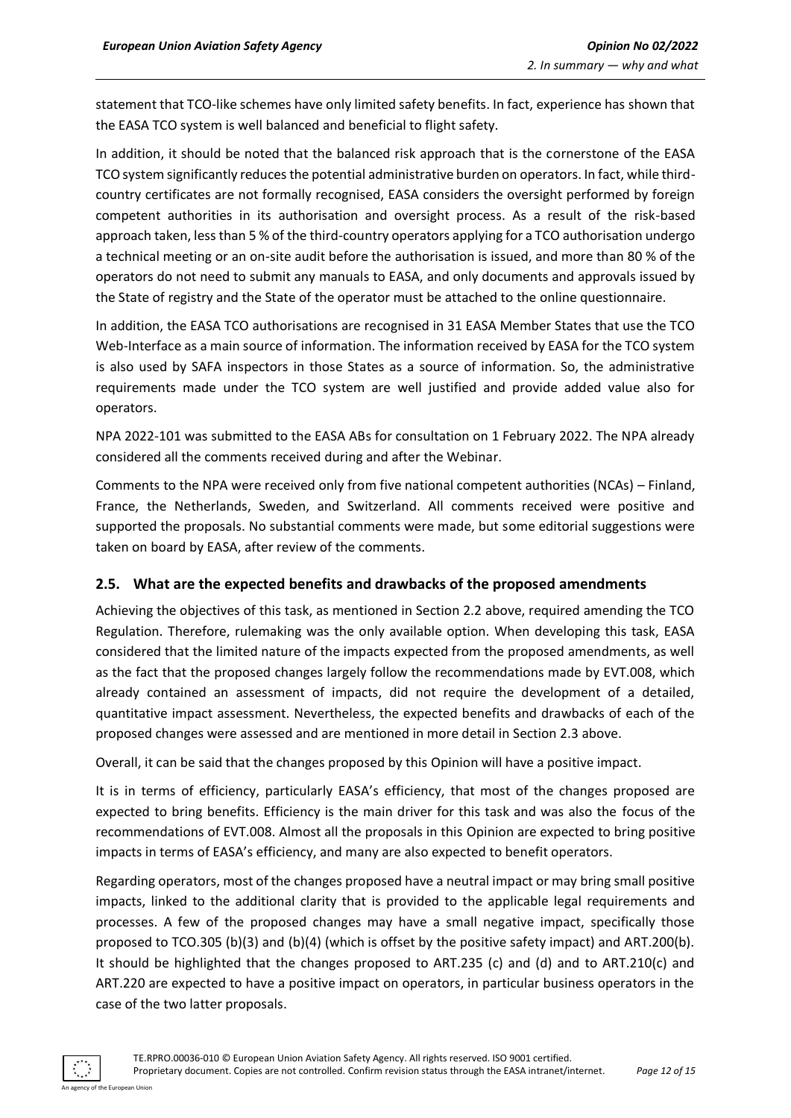statement that TCO-like schemes have only limited safety benefits. In fact, experience has shown that the EASA TCO system is well balanced and beneficial to flight safety.

In addition, it should be noted that the balanced risk approach that is the cornerstone of the EASA TCO system significantly reduces the potential administrative burden on operators. In fact, while thirdcountry certificates are not formally recognised, EASA considers the oversight performed by foreign competent authorities in its authorisation and oversight process. As a result of the risk-based approach taken, less than 5 % of the third-country operators applying for a TCO authorisation undergo a technical meeting or an on-site audit before the authorisation is issued, and more than 80 % of the operators do not need to submit any manuals to EASA, and only documents and approvals issued by the State of registry and the State of the operator must be attached to the online questionnaire.

In addition, the EASA TCO authorisations are recognised in 31 EASA Member States that use the TCO Web-Interface as a main source of information. The information received by EASA for the TCO system is also used by SAFA inspectors in those States as a source of information. So, the administrative requirements made under the TCO system are well justified and provide added value also for operators.

NPA 2022-101 was submitted to the EASA ABs for consultation on 1 February 2022. The NPA already considered all the comments received during and after the Webinar.

Comments to the NPA were received only from five national competent authorities (NCAs) – Finland, France, the Netherlands, Sweden, and Switzerland. All comments received were positive and supported the proposals. No substantial comments were made, but some editorial suggestions were taken on board by EASA, after review of the comments.

#### <span id="page-11-0"></span>**2.5. What are the expected benefits and drawbacks of the proposed amendments**

Achieving the objectives of this task, as mentioned in Section 2.2 above, required amending the TCO Regulation. Therefore, rulemaking was the only available option. When developing this task, EASA considered that the limited nature of the impacts expected from the proposed amendments, as well as the fact that the proposed changes largely follow the recommendations made by EVT.008, which already contained an assessment of impacts, did not require the development of a detailed, quantitative impact assessment. Nevertheless, the expected benefits and drawbacks of each of the proposed changes were assessed and are mentioned in more detail in Section 2.3 above.

Overall, it can be said that the changes proposed by this Opinion will have a positive impact.

It is in terms of efficiency, particularly EASA's efficiency, that most of the changes proposed are expected to bring benefits. Efficiency is the main driver for this task and was also the focus of the recommendations of EVT.008. Almost all the proposals in this Opinion are expected to bring positive impacts in terms of EASA's efficiency, and many are also expected to benefit operators.

Regarding operators, most of the changes proposed have a neutral impact or may bring small positive impacts, linked to the additional clarity that is provided to the applicable legal requirements and processes. A few of the proposed changes may have a small negative impact, specifically those proposed to TCO.305 (b)(3) and (b)(4) (which is offset by the positive safety impact) and ART.200(b). It should be highlighted that the changes proposed to ART.235 (c) and (d) and to ART.210(c) and ART.220 are expected to have a positive impact on operators, in particular business operators in the case of the two latter proposals.

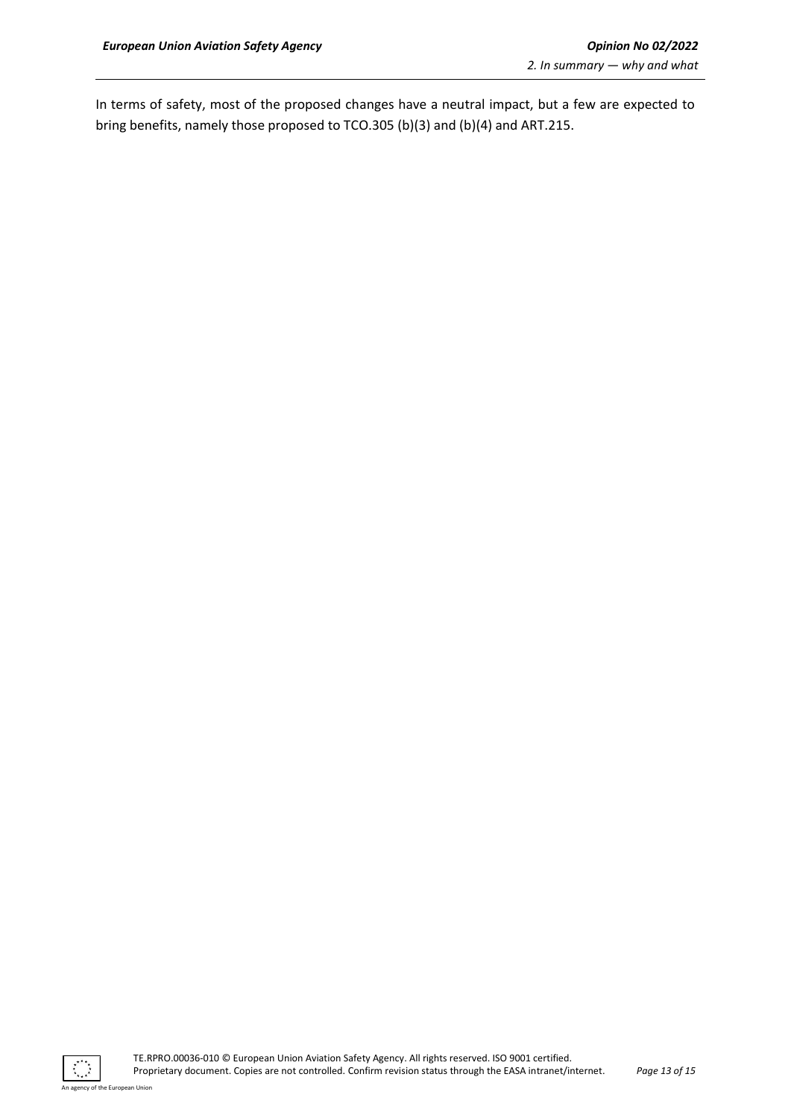In terms of safety, most of the proposed changes have a neutral impact, but a few are expected to bring benefits, namely those proposed to TCO.305 (b)(3) and (b)(4) and ART.215.

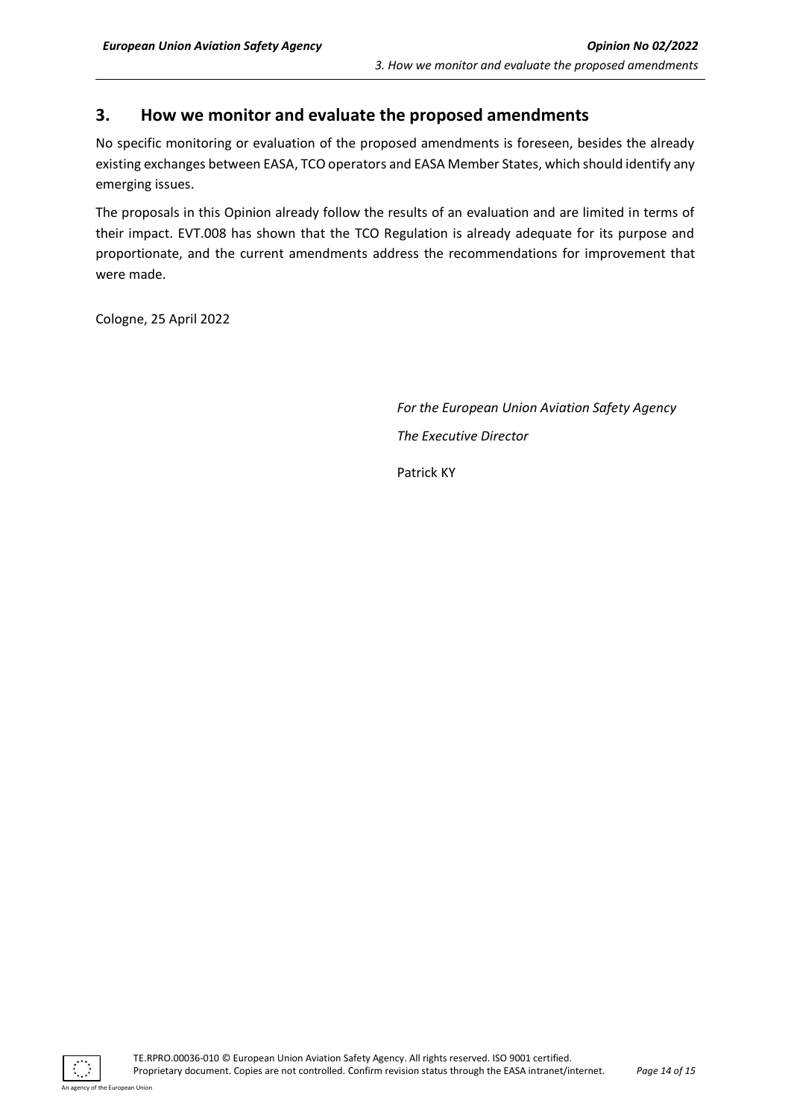## <span id="page-13-0"></span>**3. How we monitor and evaluate the proposed amendments**

No specific monitoring or evaluation of the proposed amendments is foreseen, besides the already existing exchanges between EASA, TCO operators and EASA Member States, which should identify any emerging issues.

The proposals in this Opinion already follow the results of an evaluation and are limited in terms of their impact. EVT.008 has shown that the TCO Regulation is already adequate for its purpose and proportionate, and the current amendments address the recommendations for improvement that were made.

Cologne, 25 April 2022

*For the European Union Aviation Safety Agency The Executive Director*

Patrick KY